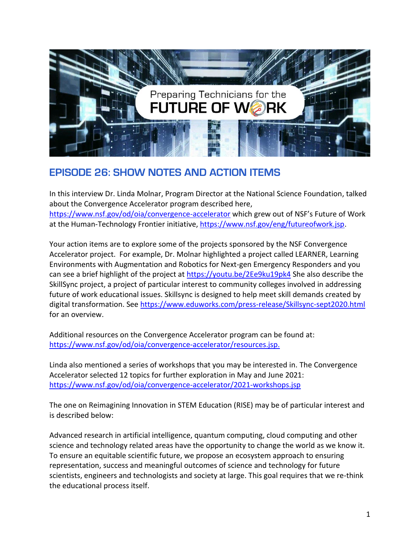

## **EPISODE 26: SHOW NOTES AND ACTION ITEMS**

In this interview Dr. Linda Molnar, Program Director at the National Science Foundation, talked about the Convergence Accelerator program described here, <https://www.nsf.gov/od/oia/convergence-accelerator> which grew out of NSF's Future of Work at the Human-Technology Frontier initiative[, https://www.nsf.gov/eng/futureofwork.jsp.](https://www.nsf.gov/eng/futureofwork.jsp)

Your action items are to explore some of the projects sponsored by the NSF Convergence Accelerator project. For example, Dr. Molnar highlighted a project called LEARNER, Learning Environments with Augmentation and Robotics for Next-gen Emergency Responders and you can see a brief highlight of the project at <https://youtu.be/2Ee9ku19pk4> She also describe the SkillSync project, a project of particular interest to community colleges involved in addressing future of work educational issues. Skillsync is designed to help meet skill demands created by digital transformation. See <https://www.eduworks.com/press-release/Skillsync-sept2020.html> for an overview.

Additional resources on the Convergence Accelerator program can be found at: [https://www.nsf.gov/od/oia/convergence-accelerator/resources.jsp.](https://www.nsf.gov/od/oia/convergence-accelerator/resources.jsp)

Linda also mentioned a series of workshops that you may be interested in. The Convergence Accelerator selected 12 topics for further exploration in May and June 2021: <https://www.nsf.gov/od/oia/convergence-accelerator/2021-workshops.jsp>

The one on Reimagining Innovation in STEM Education (RISE) may be of particular interest and is described below:

Advanced research in artificial intelligence, quantum computing, cloud computing and other science and technology related areas have the opportunity to change the world as we know it. To ensure an equitable scientific future, we propose an ecosystem approach to ensuring representation, success and meaningful outcomes of science and technology for future scientists, engineers and technologists and society at large. This goal requires that we re-think the educational process itself.